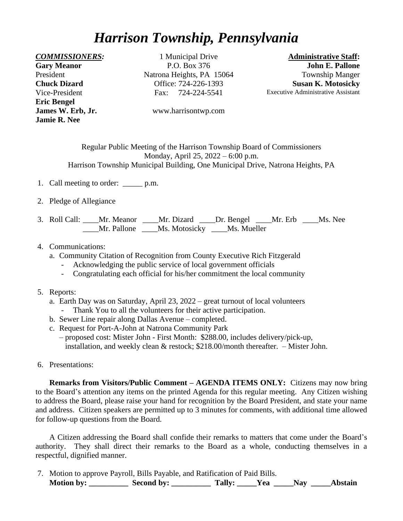## *Harrison Township, Pennsylvania*

**Gary Meanor** President **Chuck Dizard** Vice-President **Eric Bengel Jamie R. Nee**

*COMMISSIONERS:* 1 Municipal Drive **Administrative Staff:**  P.O. Box 376 Natrona Heights, PA 15064 Office: 724-226-1393 Fax: 724-224-5541

**John E. Pallone** Township Manger **Susan K. Motosicky** Executive Administrative Assistant

**James W. Erb, Jr.** [www.harrisontwp.com](http://www.harrisontwp.com/)

Regular Public Meeting of the Harrison Township Board of Commissioners Monday, April 25, 2022 – 6:00 p.m. Harrison Township Municipal Building, One Municipal Drive, Natrona Heights, PA

- 1. Call meeting to order: \_\_\_\_\_ p.m.
- 2. Pledge of Allegiance
- 3. Roll Call: \_\_\_\_Mr. Meanor \_\_\_\_Mr. Dizard \_\_\_\_Dr. Bengel \_\_\_\_Mr. Erb \_\_\_\_Ms. Nee Mr. Pallone Ms. Motosicky Ms. Mueller
- 4. Communications:
	- a. Community Citation of Recognition from County Executive Rich Fitzgerald
		- Acknowledging the public service of local government officials
		- Congratulating each official for his/her commitment the local community
- 5. Reports:
	- a. Earth Day was on Saturday, April 23, 2022 great turnout of local volunteers
		- Thank You to all the volunteers for their active participation.
	- b. Sewer Line repair along Dallas Avenue completed.
	- c. Request for Port-A-John at Natrona Community Park – proposed cost: Mister John - First Month: \$288.00, includes delivery/pick-up, installation, and weekly clean & restock; \$218.00/month thereafter. – Mister John.
- 6. Presentations:

**Remarks from Visitors/Public Comment – AGENDA ITEMS ONLY:** Citizens may now bring to the Board's attention any items on the printed Agenda for this regular meeting. Any Citizen wishing to address the Board, please raise your hand for recognition by the Board President, and state your name and address. Citizen speakers are permitted up to 3 minutes for comments, with additional time allowed for follow-up questions from the Board.

A Citizen addressing the Board shall confide their remarks to matters that come under the Board's authority. They shall direct their remarks to the Board as a whole, conducting themselves in a respectful, dignified manner.

7. Motion to approve Payroll, Bills Payable, and Ratification of Paid Bills. **Motion by: \_\_\_\_\_\_\_\_\_\_ Second by: \_\_\_\_\_\_\_\_\_\_ Tally: \_\_\_\_\_Yea \_\_\_\_\_Nay \_\_\_\_\_Abstain**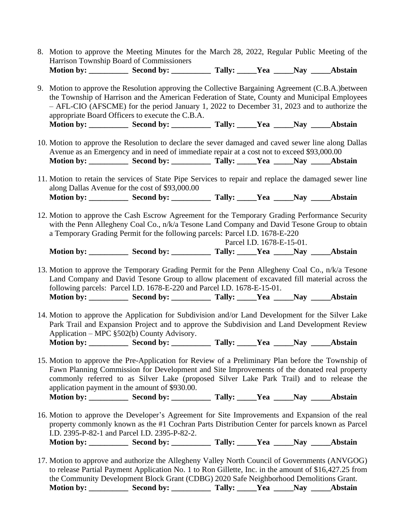8. Motion to approve the Meeting Minutes for the March 28, 2022, Regular Public Meeting of the Harrison Township Board of Commissioners **Motion by: \_\_\_\_\_\_\_\_\_\_ Second by: \_\_\_\_\_\_\_\_\_\_ Tally: \_\_\_\_\_Yea \_\_\_\_\_Nay \_\_\_\_\_Abstain**

9. Motion to approve the Resolution approving the Collective Bargaining Agreement (C.B.A.)between the Township of Harrison and the American Federation of State, County and Municipal Employees – AFL-CIO (AFSCME) for the period January 1, 2022 to December 31, 2023 and to authorize the appropriate Board Officers to execute the C.B.A. **Motion by: \_\_\_\_\_\_\_\_\_\_ Second by: \_\_\_\_\_\_\_\_\_\_ Tally: \_\_\_\_\_Yea \_\_\_\_\_Nay \_\_\_\_\_Abstain**

- 10. Motion to approve the Resolution to declare the sever damaged and caved sewer line along Dallas Avenue as an Emergency and in need of immediate repair at a cost not to exceed \$93,000.00 **Motion by: \_\_\_\_\_\_\_\_\_\_ Second by: \_\_\_\_\_\_\_\_\_\_ Tally: \_\_\_\_\_Yea \_\_\_\_\_Nay \_\_\_\_\_Abstain**
- 11. Motion to retain the services of State Pipe Services to repair and replace the damaged sewer line along Dallas Avenue for the cost of \$93,000.00 **Motion by: \_\_\_\_\_\_\_\_\_\_ Second by: \_\_\_\_\_\_\_\_\_\_ Tally: \_\_\_\_\_Yea \_\_\_\_\_Nay \_\_\_\_\_Abstain**
- 12. Motion to approve the Cash Escrow Agreement for the Temporary Grading Performance Security with the Penn Allegheny Coal Co., n/k/a Tesone Land Company and David Tesone Group to obtain a Temporary Grading Permit for the following parcels: Parcel I.D. 1678-E-220

Parcel I.D. 1678-E-15-01. **Motion by: \_\_\_\_\_\_\_\_\_\_ Second by: \_\_\_\_\_\_\_\_\_\_ Tally: \_\_\_\_\_Yea \_\_\_\_\_Nay \_\_\_\_\_Abstain**

13. Motion to approve the Temporary Grading Permit for the Penn Allegheny Coal Co., n/k/a Tesone Land Company and David Tesone Group to allow placement of excavated fill material across the following parcels: Parcel I.D. 1678-E-220 and Parcel I.D. 1678-E-15-01. Motion by: \_\_\_\_\_\_\_\_\_\_ Second by: \_\_\_\_\_\_\_\_\_\_ Tally: \_\_\_\_\_Yea \_\_\_\_\_Nay \_\_\_\_\_Abstain

14. Motion to approve the Application for Subdivision and/or Land Development for the Silver Lake Park Trail and Expansion Project and to approve the Subdivision and Land Development Review Application – MPC §502(b) County Advisory. Motion by: \_\_\_\_\_\_\_\_\_\_ Second by: \_\_\_\_\_\_\_\_\_\_ Tally: \_\_\_\_\_Yea \_\_\_\_\_Nay \_\_\_\_\_Abstain

15. Motion to approve the Pre-Application for Review of a Preliminary Plan before the Township of Fawn Planning Commission for Development and Site Improvements of the donated real property commonly referred to as Silver Lake (proposed Silver Lake Park Trail) and to release the application payment in the amount of \$930.00. **Motion by: \_\_\_\_\_\_\_\_\_\_ Second by: \_\_\_\_\_\_\_\_\_\_ Tally: \_\_\_\_\_Yea \_\_\_\_\_Nay \_\_\_\_\_Abstain**

- 16. Motion to approve the Developer's Agreement for Site Improvements and Expansion of the real property commonly known as the #1 Cochran Parts Distribution Center for parcels known as Parcel I.D. 2395-P-82-1 and Parcel I.D. 2395-P-82-2. **Motion by: \_\_\_\_\_\_\_\_\_\_ Second by: \_\_\_\_\_\_\_\_\_\_ Tally: \_\_\_\_\_Yea \_\_\_\_\_Nay \_\_\_\_\_Abstain**
- 17. Motion to approve and authorize the Allegheny Valley North Council of Governments (ANVGOG) to release Partial Payment Application No. 1 to Ron Gillette, Inc. in the amount of \$16,427.25 from the Community Development Block Grant (CDBG) 2020 Safe Neighborhood Demolitions Grant. **Motion by: \_\_\_\_\_\_\_\_\_\_ Second by: \_\_\_\_\_\_\_\_\_\_ Tally: \_\_\_\_\_Yea \_\_\_\_\_Nay \_\_\_\_\_Abstain**